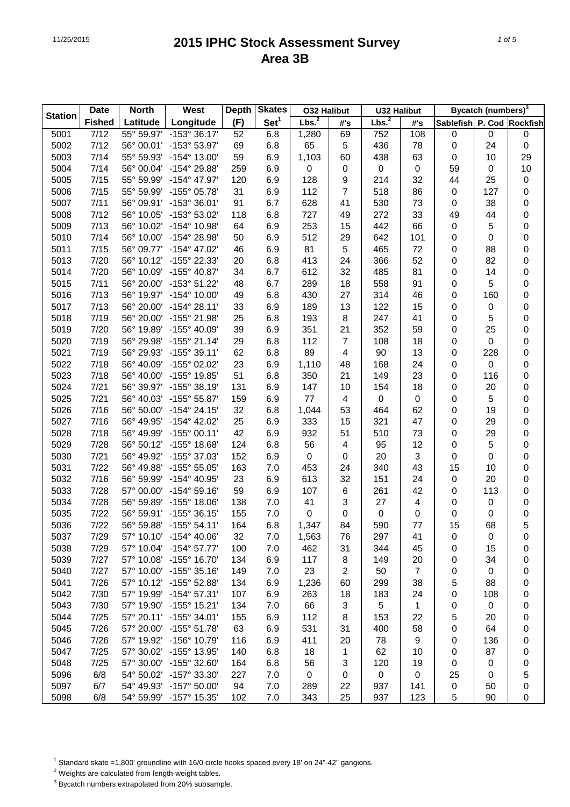|                | <b>Date</b>   | <b>North</b> | West                  | <b>Depth</b> | <b>Skates</b>    | <b>O32 Halibut</b> |                         | <b>U32 Halibut</b> |                  |                           | <b>Bycatch (numbers)</b> <sup>3</sup> |    |
|----------------|---------------|--------------|-----------------------|--------------|------------------|--------------------|-------------------------|--------------------|------------------|---------------------------|---------------------------------------|----|
| <b>Station</b> | <b>Fished</b> | Latitude     | Longitude             | (F)          | Set <sup>1</sup> | Lbs. <sup>2</sup>  | #'s                     | Lbs. <sup>2</sup>  | #'s              | Sablefish P. Cod Rockfish |                                       |    |
| 5001           | 7/12          | 55° 59.97'   | $-153^{\circ}36.17'$  | 52           | 6.8              | 1,280              | 69                      | 752                | 108              | $\pmb{0}$                 | $\pmb{0}$                             | 0  |
| 5002           | 7/12          | 56° 00.01'   | -153° 53.97'          | 69           | 6.8              | 65                 | $\sqrt{5}$              | 436                | 78               | $\mathbf 0$               | 24                                    | 0  |
| 5003           | 7/14          | 55° 59.93'   | -154° 13.00'          | 59           | 6.9              | 1,103              | 60                      | 438                | 63               | $\pmb{0}$                 | 10                                    | 29 |
| 5004           | 7/14          | 56° 00.04'   | -154° 29.88'          | 259          | 6.9              | 0                  | $\pmb{0}$               | 0                  | $\pmb{0}$        | 59                        | 0                                     | 10 |
| 5005           | 7/15          | 55° 59.99'   | -154° 47.97'          | 120          | 6.9              | 128                | $\boldsymbol{9}$        | 214                | 32               | 44                        | 25                                    | 0  |
| 5006           | 7/15          | 55° 59.99'   | -155° 05.78'          | 31           | 6.9              | 112                | $\overline{7}$          | 518                | 86               | $\pmb{0}$                 | 127                                   | 0  |
| 5007           | 7/11          | 56° 09.91'   | -153° 36.01'          | 91           | 6.7              | 628                | 41                      | 530                | 73               | $\pmb{0}$                 | 38                                    | 0  |
| 5008           | 7/12          | 56° 10.05'   | -153° 53.02'          | 118          | 6.8              | 727                | 49                      | 272                | 33               | 49                        | 44                                    | 0  |
| 5009           | 7/13          | 56° 10.02'   | -154° 10.98'          | 64           | 6.9              | 253                | 15                      | 442                | 66               | $\pmb{0}$                 | 5                                     | 0  |
| 5010           | 7/14          | 56° 10.00'   | -154° 28.98'          | 50           | 6.9              | 512                | 29                      | 642                | 101              | $\pmb{0}$                 | 0                                     | 0  |
| 5011           | 7/15          | 56° 09.77'   | -154° 47.02'          | 46           | 6.9              | 81                 | $\sqrt{5}$              | 465                | 72               | 0                         | 88                                    | 0  |
| 5013           | 7/20          | 56° 10.12'   | -155° 22.33'          | 20           | 6.8              | 413                | 24                      | 366                | 52               | 0                         | 82                                    | 0  |
| 5014           | 7/20          | 56° 10.09'   | -155° 40.87'          | 34           | 6.7              | 612                | 32                      | 485                | 81               | 0                         | 14                                    | 0  |
| 5015           | 7/11          | 56° 20.00'   | -153° 51.22'          | 48           | 6.7              | 289                | 18                      | 558                | 91               | 0                         | 5                                     | 0  |
| 5016           | 7/13          | 56° 19.97'   | -154° 10.00'          | 49           | 6.8              | 430                | 27                      | 314                | 46               | 0                         | 160                                   | 0  |
| 5017           | 7/13          | 56° 20.00'   | $-154^{\circ} 28.11'$ | 33           | 6.9              | 189                | 13                      | 122                | 15               | 0                         | 0                                     | 0  |
| 5018           | 7/19          | 56° 20.00'   | -155° 21.98'          | 25           | 6.8              | 193                | $\,8\,$                 | 247                | 41               | 0                         | 5                                     | 0  |
| 5019           | 7/20          | 56° 19.89'   | -155° 40.09'          | 39           | 6.9              | 351                | 21                      | 352                | 59               | 0                         | 25                                    | 0  |
| 5020           | 7/19          | 56° 29.98'   | $-155^{\circ}$ 21.14' | 29           | 6.8              | 112                | 7                       | 108                | 18               | 0                         | 0                                     | 0  |
| 5021           | 7/19          | 56° 29.93'   | $-155^{\circ}$ 39.11' | 62           | 6.8              | 89                 | $\overline{\mathbf{4}}$ | 90                 | 13               | 0                         | 228                                   | 0  |
| 5022           | 7/18          | 56° 40.09'   | -155° 02.02'          | 23           | 6.9              | 1,110              | 48                      | 168                | 24               | 0                         | 0                                     | 0  |
| 5023           | 7/18          | 56° 40.00'   | -155° 19.85'          | 51           | 6.8              | 350                | 21                      | 149                | 23               | 0                         | 116                                   | 0  |
| 5024           | 7/21          | 56° 39.97'   | -155° 38.19'          | 131          | 6.9              | 147                | 10                      | 154                | 18               | $\pmb{0}$                 | 20                                    | 0  |
| 5025           | 7/21          | 56° 40.03'   | -155° 55.87'          | 159          | 6.9              | 77                 | $\overline{4}$          | 0                  | 0                | 0                         | 5                                     | 0  |
| 5026           | 7/16          | 56° 50.00'   | $-154^{\circ}$ 24.15' | 32           | 6.8              | 1,044              | 53                      | 464                | 62               | 0                         | 19                                    | 0  |
| 5027           | 7/16          | 56° 49.95'   | -154° 42.02'          | 25           | 6.9              | 333                | 15                      | 321                | 47               | 0                         | 29                                    | 0  |
| 5028           | 7/18          | 56° 49.99'   | $-155^{\circ}$ 00.11' | 42           | 6.9              | 932                | 51                      | 510                | 73               | 0                         | 29                                    | 0  |
| 5029           | 7/28          | 56° 50.12'   | -155° 18.68'          | 124          | 6.8              | 56                 | 4                       | 95                 | 12               | $\pmb{0}$                 | 5                                     | 0  |
| 5030           | 7/21          | 56° 49.92'   | -155° 37.03'          | 152          | 6.9              | 0                  | $\pmb{0}$               | 20                 | 3                | 0                         | 0                                     | 0  |
| 5031           | 7/22          | 56° 49.88'   | $-155^{\circ}55.05'$  | 163          | 7.0              | 453                | 24                      | 340                | 43               | 15                        | 10                                    | 0  |
| 5032           | 7/16          | 56° 59.99'   | -154° 40.95'          | 23           | 6.9              | 613                | 32                      | 151                | 24               | $\pmb{0}$                 | 20                                    | 0  |
| 5033           | 7/28          | 57° 00.00'   | $-154^{\circ}59.16'$  | 59           | 6.9              | 107                | $\,6$                   | 261                | 42               | $\pmb{0}$                 | 113                                   | 0  |
| 5034           | 7/28          | 56° 59.89'   | $-155^{\circ}$ 18.06' | 138          | 7.0              | 41                 | 3                       | 27                 | 4                | $\pmb{0}$                 | 0                                     | 0  |
| 5035           | 7/22          | 56° 59.91'   | $-155^{\circ}$ 36.15' | 155          | 7.0              | 0                  | $\pmb{0}$               | 0                  | 0                | 0                         | 0                                     | 0  |
| 5036           | 7/22          | 56° 59.88'   | $-155^{\circ} 54.11'$ | 164          | 6.8              | 1,347              | 84                      | 590                | 77               | 15                        | 68                                    | 5  |
| 5037           | 7/29          | 57° 10.10'   | $-154^{\circ}$ 40.06' | 32           | 7.0              | 1,563              | 76                      | 297                | 41               | 0                         | 0                                     | 0  |
| 5038           | 7/29          | 57° 10.04'   | $-154^{\circ}57.77'$  | 100          | 7.0              | 462                | 31                      | 344                | 45               | 0                         | 15                                    | 0  |
| 5039           | 7/27          | 57° 10.08'   | $-155^{\circ}$ 16.70' | 134          | 6.9              | 117                | 8                       | 149                | 20               | 0                         | 34                                    | 0  |
| 5040           | 7/27          | 57° 10.00'   | $-155^{\circ}$ 35.16' | 149          | 7.0              | 23                 | $\overline{c}$          | 50                 | $\overline{7}$   | 0                         | $\pmb{0}$                             | 0  |
| 5041           | 7/26          | 57° 10.12'   | -155° 52.88'          | 134          | 6.9              | 1,236              | 60                      | 299                | 38               | 5                         | 88                                    | 0  |
| 5042           | 7/30          | 57° 19.99'   | $-154^{\circ}57.31'$  | 107          | 6.9              | 263                | 18                      | 183                | 24               | 0                         | 108                                   | 0  |
| 5043           | 7/30          | 57° 19.90'   | $-155^{\circ}$ 15.21' | 134          | 7.0              | 66                 | 3                       | 5                  | 1                | 0                         | $\pmb{0}$                             | 0  |
| 5044           | 7/25          | 57° 20.11'   | $-155^{\circ}$ 34.01' | 155          | 6.9              | 112                | 8                       | 153                | 22               | 5                         | 20                                    | 0  |
| 5045           | 7/26          | 57° 20.00'   | $-155^{\circ} 51.78'$ | 63           | 6.9              | 531                | 31                      | 400                | 58               | 0                         | 64                                    | 0  |
| 5046           | 7/26          | 57° 19.92'   | -156° 10.79'          | 116          | 6.9              | 411                | 20                      | 78                 | 9                | 0                         | 136                                   | 0  |
| 5047           | 7/25          | 57° 30.02'   | -155° 13.95'          | 140          | 6.8              | 18                 | 1                       | 62                 | 10               | 0                         | 87                                    | 0  |
| 5048           | 7/25          | 57° 30.00'   | -155° 32.60'          | 164          | 6.8              | 56                 | 3                       | 120                | 19               | 0                         | 0                                     | 0  |
| 5096           | 6/8           | 54° 50.02'   | -157° 33.30'          | 227          | 7.0              | $\mathbf 0$        | $\pmb{0}$               | $\pmb{0}$          | $\boldsymbol{0}$ | 25                        | 0                                     | 5  |
| 5097           | 6/7           | 54° 49.93'   | $-157^{\circ} 50.00'$ | 94           | 7.0              | 289                | 22                      | 937                | 141              | 0                         | 50                                    | 0  |
| 5098           | 6/8           | 54° 59.99'   | -157° 15.35'          | 102          | 7.0              | 343                | 25                      | 937                | 123              | 5                         | 90                                    | 0  |

<sup>1</sup> Standard skate =1,800' groundline with 16/0 circle hooks spaced every 18' on 24"-42" gangions.

2 Weights are calculated from length-weight tables.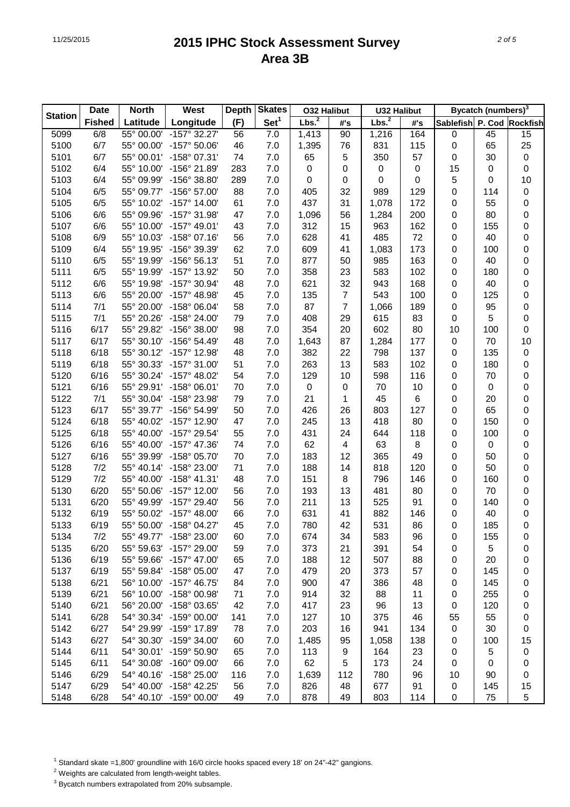|                | <b>Date</b>   | <b>North</b> | West                  | <b>Depth</b> | <b>Skates</b>    | <b>O32 Halibut</b> |                         | <b>U32 Halibut</b> |           |                           | <b>Bycatch (numbers)</b> <sup>3</sup> |             |
|----------------|---------------|--------------|-----------------------|--------------|------------------|--------------------|-------------------------|--------------------|-----------|---------------------------|---------------------------------------|-------------|
| <b>Station</b> | <b>Fished</b> | Latitude     | Longitude             | (F)          | Set <sup>1</sup> | Lbs. <sup>2</sup>  | #'s                     | Lbs. <sup>2</sup>  | #'s       | Sablefish P. Cod Rockfish |                                       |             |
| 5099           | 6/8           | 55° 00.00'   | $-157^{\circ}$ 32.27' | 56           | 7.0              | 1,413              | 90                      | 1,216              | 164       | 0                         | 45                                    | 15          |
| 5100           | 6/7           | 55° 00.00'   | -157° 50.06'          | 46           | 7.0              | 1,395              | 76                      | 831                | 115       | $\pmb{0}$                 | 65                                    | 25          |
| 5101           | 6/7           | 55° 00.01'   | -158° 07.31'          | 74           | 7.0              | 65                 | $\sqrt{5}$              | 350                | 57        | $\pmb{0}$                 | 30                                    | $\pmb{0}$   |
| 5102           | 6/4           | 55° 10.00'   | -156° 21.89'          | 283          | 7.0              | 0                  | $\pmb{0}$               | 0                  | $\pmb{0}$ | 15                        | 0                                     | 0           |
| 5103           | 6/4           | 55° 09.99'   | -156° 38.80'          | 289          | 7.0              | 0                  | $\pmb{0}$               | $\boldsymbol{0}$   | 0         | 5                         | 0                                     | 10          |
| 5104           | 6/5           | 55° 09.77'   | -156° 57.00'          | 88           | 7.0              | 405                | 32                      | 989                | 129       | $\pmb{0}$                 | 114                                   | 0           |
| 5105           | 6/5           | 55° 10.02'   | $-157^{\circ}$ 14.00  | 61           | 7.0              | 437                | 31                      | 1,078              | 172       | $\pmb{0}$                 | 55                                    | 0           |
| 5106           | 6/6           | 55° 09.96'   | -157° 31.98'          | 47           | 7.0              | 1,096              | 56                      | 1,284              | 200       | $\pmb{0}$                 | 80                                    | 0           |
| 5107           | 6/6           | 55° 10.00'   | $-157^{\circ}$ 49.01' | 43           | 7.0              | 312                | 15                      | 963                | 162       | $\pmb{0}$                 | 155                                   | 0           |
| 5108           | 6/9           | 55° 10.03'   | -158° 07.16'          | 56           | 7.0              | 628                | 41                      | 485                | 72        | $\pmb{0}$                 | 40                                    | 0           |
| 5109           | 6/4           | 55° 19.95'   | -156° 39.39'          | 62           | 7.0              | 609                | 41                      | 1,083              | 173       | $\pmb{0}$                 | 100                                   | 0           |
| 5110           | 6/5           | 55° 19.99'   | $-156°56.13'$         | 51           | 7.0              | 877                | 50                      | 985                | 163       | $\pmb{0}$                 | 40                                    | 0           |
| 5111           | 6/5           | 55° 19.99'   | -157° 13.92'          | 50           | 7.0              | 358                | 23                      | 583                | 102       | $\pmb{0}$                 | 180                                   | 0           |
| 5112           | 6/6           | 55° 19.98'   | -157° 30.94'          | 48           | 7.0              | 621                | 32                      | 943                | 168       | $\pmb{0}$                 | 40                                    | 0           |
| 5113           | 6/6           | 55° 20.00'   | -157° 48.98'          | 45           | 7.0              | 135                | $\overline{7}$          | 543                | 100       | $\pmb{0}$                 | 125                                   | 0           |
| 5114           | 7/1           | 55° 20.00'   | -158° 06.04'          | 58           | 7.0              | 87                 | $\overline{7}$          | 1,066              | 189       | $\pmb{0}$                 | 95                                    | 0           |
| 5115           | 7/1           | 55° 20.26'   | -158° 24.00'          | 79           | 7.0              | 408                | 29                      | 615                | 83        | $\pmb{0}$                 | 5                                     | 0           |
| 5116           | 6/17          | 55° 29.82'   | $-156^{\circ}$ 38.00' | 98           | 7.0              | 354                | 20                      | 602                | 80        | 10                        | 100                                   | 0           |
| 5117           | 6/17          | 55° 30.10'   | $-156^{\circ} 54.49'$ | 48           | 7.0              | 1,643              | 87                      | 1,284              | 177       | $\pmb{0}$                 | 70                                    | 10          |
| 5118           | 6/18          | 55° 30.12'   | -157° 12.98'          | 48           | 7.0              | 382                | 22                      | 798                | 137       | $\pmb{0}$                 | 135                                   | 0           |
| 5119           | 6/18          | 55° 30.33'   | $-157^{\circ}$ 31.00  | 51           | 7.0              | 263                | 13                      | 583                | 102       | $\pmb{0}$                 | 180                                   | 0           |
| 5120           | 6/16          | 55° 30.24'   | $-157^{\circ}$ 48.02  | 54           | 7.0              | 129                | 10                      | 598                | 116       | $\pmb{0}$                 | 70                                    | 0           |
| 5121           | 6/16          | 55° 29.91'   | $-158^{\circ}$ 06.01' | 70           | 7.0              | $\pmb{0}$          | $\pmb{0}$               | 70                 | 10        | $\pmb{0}$                 | $\pmb{0}$                             | 0           |
| 5122           | 7/1           | 55° 30.04'   | -158° 23.98'          | 79           | 7.0              | 21                 | 1                       | 45                 | 6         | $\pmb{0}$                 | 20                                    | 0           |
| 5123           | 6/17          | 55° 39.77'   | -156° 54.99'          | 50           | 7.0              | 426                | 26                      | 803                | 127       | $\pmb{0}$                 | 65                                    | 0           |
| 5124           | 6/18          | 55° 40.02'   | -157° 12.90'          | 47           | 7.0              | 245                | 13                      | 418                | 80        | $\pmb{0}$                 | 150                                   | 0           |
| 5125           | 6/18          | 55° 40.00'   | -157° 29.54'          | 55           | 7.0              | 431                | 24                      | 644                | 118       | $\pmb{0}$                 | 100                                   | 0           |
| 5126           | 6/16          | 55° 40.00'   | -157° 47.36'          | 74           | 7.0              | 62                 | $\overline{\mathbf{4}}$ | 63                 | $\bf 8$   | $\pmb{0}$                 | $\pmb{0}$                             | 0           |
| 5127           | 6/16          | 55° 39.99'   | -158° 05.70'          | 70           | 7.0              | 183                | 12                      | 365                | 49        | $\pmb{0}$                 | 50                                    | 0           |
| 5128           | 7/2           | 55° 40.14'   | -158° 23.00'          | 71           | 7.0              | 188                | 14                      | 818                | 120       | $\pmb{0}$                 | 50                                    | 0           |
| 5129           | 7/2           | 55° 40.00'   | $-158^{\circ}$ 41.31' | 48           | 7.0              | 151                | 8                       | 796                | 146       | $\pmb{0}$                 | 160                                   | 0           |
| 5130           | 6/20          | 55° 50.06'   | $-157^{\circ}$ 12.00  | 56           | 7.0              | 193                | 13                      | 481                | 80        | $\pmb{0}$                 | 70                                    | 0           |
| 5131           | 6/20          | 55° 49.99'   | -157° 29.40'          | 56           | 7.0              | 211                | 13                      | 525                | 91        | $\pmb{0}$                 | 140                                   | 0           |
| 5132           | 6/19          | 55° 50.02'   | $-157^{\circ}$ 48.00' | 66           | 7.0              | 631                | 41                      | 882                | 146       | 0                         | 40                                    | 0           |
| 5133           | 6/19          | 55° 50.00'   | $-158^{\circ}$ 04.27' | 45           | 7.0              | 780                | 42                      | 531                | 86        | $\mathbf 0$               | 185                                   | $\mathsf 0$ |
| 5134           | 7/2           | 55° 49.77'   | -158° 23.00'          | 60           | 7.0              | 674                | 34                      | 583                | 96        | 0                         | 155                                   | 0           |
| 5135           | 6/20          | 55° 59.63'   | -157° 29.00'          | 59           | 7.0              | 373                | 21                      | 391                | 54        | 0                         | 5                                     | 0           |
| 5136           | 6/19          | 55° 59.66'   | $-157^{\circ}$ 47.00' | 65           | 7.0              | 188                | 12                      | 507                | 88        | 0                         | 20                                    | 0           |
| 5137           | 6/19          | 55° 59.84'   | -158° 05.00'          | 47           | 7.0              | 479                | 20                      | 373                | 57        | 0                         | 145                                   | 0           |
| 5138           | 6/21          | 56° 10.00'   | $-157^{\circ}$ 46.75' | 84           | 7.0              | 900                | 47                      | 386                | 48        | 0                         | 145                                   | 0           |
| 5139           | 6/21          | 56° 10.00'   | -158° 00.98'          | 71           | 7.0              | 914                | 32                      | 88                 | 11        | 0                         | 255                                   | 0           |
| 5140           | 6/21          | 56° 20.00'   | -158° 03.65'          | 42           | 7.0              | 417                | 23                      | 96                 | 13        | 0                         | 120                                   | 0           |
| 5141           | 6/28          | 54° 30.34'   | $-159^{\circ}$ 00.00' | 141          | 7.0              | 127                | 10                      | 375                | 46        | 55                        | 55                                    | 0           |
| 5142           | 6/27          | 54° 29.99'   | -159° 17.89'          | 78           | 7.0              | 203                | 16                      | 941                | 134       | 0                         | 30                                    | 0           |
| 5143           | 6/27          | 54° 30.30'   | $-159^{\circ}$ 34.00' | 60           | 7.0              | 1,485              | 95                      | 1,058              | 138       | 0                         | 100                                   | 15          |
| 5144           | 6/11          | 54° 30.01'   | -159° 50.90'          | 65           | 7.0              | 113                | 9                       | 164                | 23        | 0                         | 5                                     | 0           |
| 5145           | 6/11          | 54° 30.08'   | $-160^{\circ}$ 09.00' | 66           | 7.0              | 62                 | 5                       | 173                | 24        | 0                         | 0                                     | 0           |
| 5146           | 6/29          | 54° 40.16'   | -158° 25.00'          | 116          | 7.0              | 1,639              | 112                     | 780                | 96        | 10                        | 90                                    | 0           |
| 5147           | 6/29          | 54° 40.00'   | -158° 42.25'          | 56           | 7.0              | 826                | 48                      | 677                | 91        | 0                         | 145                                   | 15          |
| 5148           | 6/28          | 54° 40.10'   | $-159^{\circ}$ 00.00' | 49           | 7.0              | 878                | 49                      | 803                | 114       | 0                         | 75                                    | 5           |

<sup>1</sup> Standard skate =1,800' groundline with 16/0 circle hooks spaced every 18' on 24"-42" gangions.

2 Weights are calculated from length-weight tables.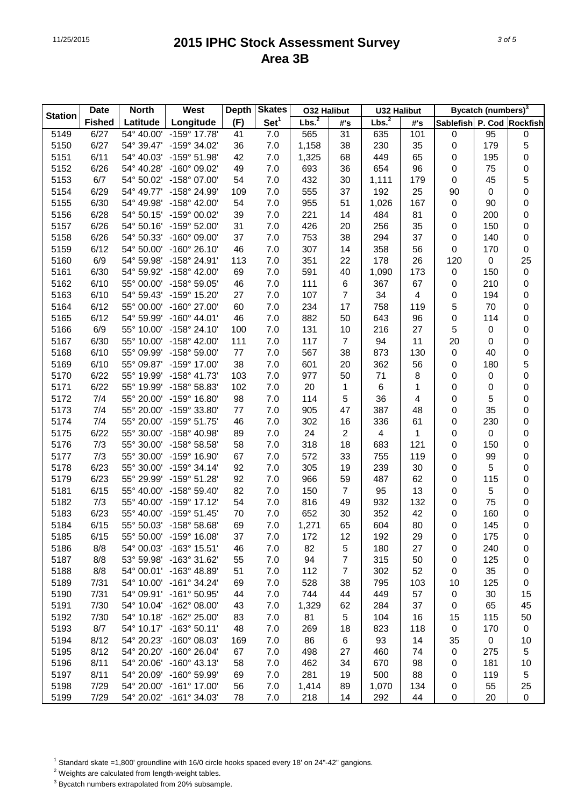|                | <b>Date</b>   | <b>North</b> | West                  | <b>Depth</b> | <b>Skates</b>    | <b>O32 Halibut</b> |                | <b>U32 Halibut</b> |     |                           | <b>Bycatch (numbers)</b> <sup>3</sup> |                     |
|----------------|---------------|--------------|-----------------------|--------------|------------------|--------------------|----------------|--------------------|-----|---------------------------|---------------------------------------|---------------------|
| <b>Station</b> | <b>Fished</b> | Latitude     | Longitude             | (F)          | Set <sup>1</sup> | Lbs. <sup>2</sup>  | #'s            | Lbs. <sup>2</sup>  | #'s | Sablefish P. Cod Rockfish |                                       |                     |
| 5149           | 6/27          | 54° 40.00'   | $-159^{\circ}$ 17.78' | 41           | 7.0              | 565                | 31             | 635                | 101 | $\pmb{0}$                 | 95                                    | 0                   |
| 5150           | 6/27          | 54° 39.47'   | -159° 34.02'          | 36           | 7.0              | 1,158              | 38             | 230                | 35  | $\mathbf 0$               | 179                                   | 5                   |
| 5151           | 6/11          | 54° 40.03'   | -159° 51.98'          | 42           | 7.0              | 1,325              | 68             | 449                | 65  | $\pmb{0}$                 | 195                                   | 0                   |
| 5152           | 6/26          | 54° 40.28'   | -160° 09.02'          | 49           | 7.0              | 693                | 36             | 654                | 96  | $\pmb{0}$                 | 75                                    | 0                   |
| 5153           | 6/7           | 54° 50.02'   | -158° 07.00'          | 54           | 7.0              | 432                | 30             | 1,111              | 179 | $\pmb{0}$                 | 45                                    | 5                   |
| 5154           | 6/29          | 54° 49.77'   | -158° 24.99'          | 109          | 7.0              | 555                | 37             | 192                | 25  | 90                        | $\pmb{0}$                             | $\mathsf{O}\xspace$ |
| 5155           | 6/30          | 54° 49.98'   | -158° 42.00'          | 54           | 7.0              | 955                | 51             | 1,026              | 167 | $\pmb{0}$                 | 90                                    | 0                   |
| 5156           | 6/28          | 54° 50.15'   | -159° 00.02'          | 39           | 7.0              | 221                | 14             | 484                | 81  | $\pmb{0}$                 | 200                                   | 0                   |
| 5157           | 6/26          | 54° 50.16'   | -159° 52.00'          | 31           | 7.0              | 426                | 20             | 256                | 35  | $\pmb{0}$                 | 150                                   | 0                   |
| 5158           | 6/26          | 54° 50.33'   | $-160^{\circ}$ 09.00' | 37           | 7.0              | 753                | 38             | 294                | 37  | $\pmb{0}$                 | 140                                   | 0                   |
| 5159           | 6/12          | 54° 50.00'   | $-160^{\circ}$ 26.10  | 46           | 7.0              | 307                | 14             | 358                | 56  | $\mathbf 0$               | 170                                   | 0                   |
| 5160           | 6/9           | 54° 59.98'   | -158° 24.91'          | 113          | 7.0              | 351                | 22             | 178                | 26  | 120                       | 0                                     | 25                  |
| 5161           | 6/30          | 54° 59.92'   | -158° 42.00'          | 69           | 7.0              | 591                | 40             | 1,090              | 173 | 0                         | 150                                   | $\pmb{0}$           |
| 5162           | 6/10          | 55° 00.00'   | -158° 59.05'          | 46           | 7.0              | 111                | $\,6$          | 367                | 67  | $\pmb{0}$                 | 210                                   | 0                   |
| 5163           | 6/10          | 54° 59.43'   | -159° 15.20'          | 27           | 7.0              | 107                | $\overline{7}$ | 34                 | 4   | 0                         | 194                                   | 0                   |
| 5164           | 6/12          | 55° 00.00'   | -160° 27.00'          | 60           | 7.0              | 234                | 17             | 758                | 119 | 5                         | 70                                    | 0                   |
| 5165           | 6/12          | 54° 59.99'   | $-160^{\circ}$ 44.01' | 46           | 7.0              | 882                | 50             | 643                | 96  | $\mathbf 0$               | 114                                   | 0                   |
| 5166           | 6/9           | 55° 10.00'   | -158° 24.10'          | 100          | 7.0              | 131                | 10             | 216                | 27  | 5                         | 0                                     | 0                   |
| 5167           | 6/30          | 55° 10.00'   | -158° 42.00'          | 111          | 7.0              | 117                | $\overline{7}$ | 94                 | 11  | 20                        | 0                                     | 0                   |
| 5168           | 6/10          | 55° 09.99'   | -158° 59.00'          | 77           | 7.0              | 567                | 38             | 873                | 130 | $\pmb{0}$                 | 40                                    | $\mathsf{O}\xspace$ |
| 5169           | 6/10          | 55° 09.87'   | -159° 17.00'          | 38           | 7.0              | 601                | 20             | 362                | 56  | $\mathsf 0$               | 180                                   | 5                   |
| 5170           | 6/22          | 55° 19.99'   | $-158^{\circ}$ 41.73' | 103          | 7.0              | 977                | 50             | 71                 | 8   | $\pmb{0}$                 | 0                                     | 0                   |
| 5171           | 6/22          | 55° 19.99'   | -158° 58.83'          | 102          | 7.0              | 20                 | 1              | 6                  | 1   | 0                         | 0                                     | 0                   |
| 5172           | 7/4           | 55° 20.00'   | -159° 16.80'          | 98           | 7.0              | 114                | $\sqrt{5}$     | 36                 | 4   | 0                         | 5                                     | 0                   |
| 5173           | 7/4           | 55° 20.00'   | -159° 33.80'          | 77           | 7.0              | 905                | 47             | 387                | 48  | 0                         | 35                                    | 0                   |
| 5174           | 7/4           | 55° 20.00'   | $-159°51.75'$         | 46           | 7.0              | 302                | 16             | 336                | 61  | $\pmb{0}$                 | 230                                   | 0                   |
| 5175           | 6/22          | 55° 30.00'   | -158° 40.98'          | 89           | 7.0              | 24                 | $\overline{2}$ | 4                  | 1   | 0                         | 0                                     | 0                   |
| 5176           | 7/3           | 55° 30.00'   | -158° 58.58'          | 58           | 7.0              | 318                | 18             | 683                | 121 | 0                         | 150                                   | 0                   |
| 5177           | 7/3           | 55° 30.00'   | -159° 16.90'          | 67           | 7.0              | 572                | 33             | 755                | 119 | $\pmb{0}$                 | 99                                    | 0                   |
| 5178           | 6/23          | 55° 30.00'   | $-159°34.14'$         | 92           | 7.0              | 305                | 19             | 239                | 30  | 0                         | 5                                     | 0                   |
| 5179           | 6/23          | 55° 29.99'   | -159° 51.28'          | 92           | 7.0              | 966                | 59             | 487                | 62  | $\pmb{0}$                 | 115                                   | 0                   |
| 5181           | 6/15          | 55° 40.00'   | -158° 59.40'          | 82           | 7.0              | 150                | $\overline{7}$ | 95                 | 13  | $\pmb{0}$                 | 5                                     | 0                   |
| 5182           | 7/3           | 55° 40.00'   | $-159^{\circ}$ 17.12  | 54           | 7.0              | 816                | 49             | 932                | 132 | $\pmb{0}$                 | 75                                    | 0                   |
| 5183           | 6/23          | 55° 40.00'   | $-159°51.45'$         | 70           | 7.0              | 652                | 30             | 352                | 42  | 0                         | 160                                   | 0                   |
| 5184           | 6/15          | 55° 50.03'   | -158° 58.68'          | 69           | 7.0              | 1,271              | 65             | 604                | 80  | $\mathbf 0$               | 145                                   | $\mathsf 0$         |
| 5185           | 6/15          | 55° 50.00'   | $-159^{\circ}$ 16.08' | 37           | 7.0              | 172                | 12             | 192                | 29  | 0                         | 175                                   | 0                   |
| 5186           | 8/8           | 54° 00.03'   | $-163^\circ$ 15.51'   | 46           | 7.0              | 82                 | 5              | 180                | 27  | 0                         | 240                                   | 0                   |
| 5187           | 8/8           | 53° 59.98'   | -163° 31.62'          | 55           | 7.0              | 94                 | 7              | 315                | 50  | 0                         | 125                                   | 0                   |
| 5188           | 8/8           | 54° 00.01'   | -163° 48.89'          | 51           | 7.0              | 112                | $\overline{7}$ | 302                | 52  | 0                         | 35                                    | 0                   |
| 5189           | 7/31          | 54° 10.00'   | $-161°34.24'$         | 69           | 7.0              | 528                | 38             | 795                | 103 | 10                        | 125                                   | 0                   |
| 5190           | 7/31          | 54° 09.91'   | $-161^{\circ} 50.95'$ | 44           | 7.0              | 744                | 44             | 449                | 57  | 0                         | 30                                    | 15                  |
| 5191           | 7/30          | 54° 10.04'   | $-162^{\circ}$ 08.00' | 43           | 7.0              | 1,329              | 62             | 284                | 37  | 0                         | 65                                    | 45                  |
| 5192           | 7/30          | 54° 10.18'   | -162° 25.00'          | 83           | 7.0              | 81                 | 5              | 104                | 16  | 15                        | 115                                   | 50                  |
| 5193           | 8/7           | 54° 10.17'   | $-163°50.11'$         | 48           | 7.0              | 269                | 18             | 823                | 118 | 0                         | 170                                   | 0                   |
| 5194           | 8/12          | 54° 20.23'   | $-160^{\circ}$ 08.03' | 169          | 7.0              | 86                 | 6              | 93                 | 14  | 35                        | $\pmb{0}$                             | 10                  |
| 5195           | 8/12          | 54° 20.20'   | $-160^{\circ}$ 26.04' | 67           | 7.0              | 498                | 27             | 460                | 74  | 0                         | 275                                   | 5                   |
| 5196           | 8/11          | 54° 20.06'   | $-160^{\circ}$ 43.13' | 58           | 7.0              | 462                | 34             | 670                | 98  | 0                         | 181                                   | 10                  |
| 5197           | 8/11          | 54° 20.09'   | -160° 59.99'          | 69           | 7.0              | 281                | 19             | 500                | 88  | 0                         | 119                                   | 5                   |
| 5198           | 7/29          | 54° 20.00'   | $-161^{\circ}$ 17.00' | 56           | 7.0              | 1,414              | 89             | 1,070              | 134 | 0                         | 55                                    | 25                  |
| 5199           | 7/29          | 54° 20.02'   | -161° 34.03'          | 78           | 7.0              | 218                | 14             | 292                | 44  | 0                         | 20                                    | 0                   |

<sup>1</sup> Standard skate =1,800' groundline with 16/0 circle hooks spaced every 18' on 24"-42" gangions.

2 Weights are calculated from length-weight tables.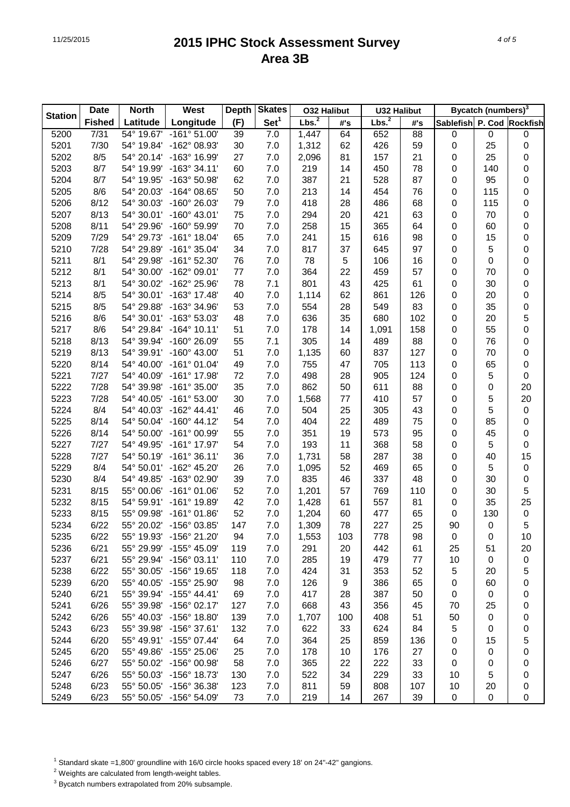|                | <b>Date</b>   | <b>North</b> | West                  | <b>Depth</b> | <b>Skates</b>    | <b>O32 Halibut</b> |            | <b>U32 Halibut</b> |     |                           | <b>Bycatch (numbers)</b> <sup>3</sup> |             |
|----------------|---------------|--------------|-----------------------|--------------|------------------|--------------------|------------|--------------------|-----|---------------------------|---------------------------------------|-------------|
| <b>Station</b> | <b>Fished</b> | Latitude     | Longitude             | (F)          | Set <sup>1</sup> | Lbs. <sup>2</sup>  | #'s        | Lbs. <sup>2</sup>  | #'s | Sablefish P. Cod Rockfish |                                       |             |
| 5200           | 7/31          | 54° 19.67'   | $-161°51.00'$         | 39           | $7.0$            | 1,447              | 64         | 652                | 88  | 0                         | $\pmb{0}$                             | 0           |
| 5201           | 7/30          | 54° 19.84'   | -162° 08.93'          | 30           | 7.0              | 1,312              | 62         | 426                | 59  | $\mathbf 0$               | 25                                    | 0           |
| 5202           | 8/5           | 54° 20.14'   | -163° 16.99'          | 27           | 7.0              | 2,096              | 81         | 157                | 21  | $\pmb{0}$                 | 25                                    | 0           |
| 5203           | 8/7           | 54° 19.99'   | $-163°34.11'$         | 60           | 7.0              | 219                | 14         | 450                | 78  | $\pmb{0}$                 | 140                                   | 0           |
| 5204           | 8/7           | 54° 19.95'   | -163° 50.98'          | 62           | 7.0              | 387                | 21         | 528                | 87  | $\pmb{0}$                 | 95                                    | 0           |
| 5205           | 8/6           | 54° 20.03'   | $-164^{\circ}$ 08.65' | 50           | 7.0              | 213                | 14         | 454                | 76  | $\pmb{0}$                 | 115                                   | 0           |
| 5206           | 8/12          | 54° 30.03'   | $-160^{\circ}$ 26.03' | 79           | 7.0              | 418                | 28         | 486                | 68  | $\pmb{0}$                 | 115                                   | 0           |
| 5207           | 8/13          | 54° 30.01'   | $-160^{\circ}$ 43.01' | 75           | 7.0              | 294                | 20         | 421                | 63  | $\pmb{0}$                 | 70                                    | 0           |
| 5208           | 8/11          | 54° 29.96'   | -160° 59.99'          | 70           | 7.0              | 258                | 15         | 365                | 64  | $\pmb{0}$                 | 60                                    | 0           |
| 5209           | 7/29          | 54° 29.73'   | $-161^{\circ}$ 18.04' | 65           | 7.0              | 241                | 15         | 616                | 98  | $\pmb{0}$                 | 15                                    | 0           |
| 5210           | 7/28          | 54° 29.89'   | $-161°35.04'$         | 34           | 7.0              | 817                | 37         | 645                | 97  | 0                         | 5                                     | 0           |
| 5211           | 8/1           | 54° 29.98'   | $-161^{\circ}$ 52.30' | 76           | 7.0              | 78                 | $\sqrt{5}$ | 106                | 16  | 0                         | 0                                     | 0           |
| 5212           | 8/1           | 54° 30.00'   | $-162^{\circ}$ 09.01' | 77           | 7.0              | 364                | 22         | 459                | 57  | 0                         | 70                                    | 0           |
| 5213           | 8/1           | 54° 30.02'   | -162° 25.96'          | 78           | 7.1              | 801                | 43         | 425                | 61  | $\pmb{0}$                 | 30                                    | 0           |
| 5214           | 8/5           | 54° 30.01'   | $-163^{\circ}$ 17.48' | 40           | 7.0              | 1,114              | 62         | 861                | 126 | $\pmb{0}$                 | 20                                    | 0           |
| 5215           | 8/5           | 54° 29.88'   | -163° 34.96'          | 53           | 7.0              | 554                | 28         | 549                | 83  | $\pmb{0}$                 | 35                                    | 0           |
| 5216           | 8/6           | 54° 30.01'   | -163° 53.03'          | 48           | 7.0              | 636                | 35         | 680                | 102 | $\pmb{0}$                 | 20                                    | 5           |
| 5217           | 8/6           | 54° 29.84'   | $-164^{\circ}$ 10.11' | 51           | 7.0              | 178                | 14         | 1,091              | 158 | $\pmb{0}$                 | 55                                    | 0           |
| 5218           | 8/13          | 54° 39.94'   | $-160^{\circ}$ 26.09' | 55           | 7.1              | 305                | 14         | 489                | 88  | $\pmb{0}$                 | 76                                    | 0           |
| 5219           | 8/13          | 54° 39.91'   | $-160^{\circ}$ 43.00' | 51           | 7.0              | 1,135              | 60         | 837                | 127 | $\pmb{0}$                 | 70                                    | 0           |
| 5220           | 8/14          | 54° 40.00'   | $-161°01.04'$         | 49           | 7.0              | 755                | 47         | 705                | 113 | $\pmb{0}$                 | 65                                    | 0           |
| 5221           | 7/27          | 54° 40.09'   | -161° 17.98'          | 72           | 7.0              | 498                | 28         | 905                | 124 | $\pmb{0}$                 | 5                                     | 0           |
| 5222           | 7/28          | 54° 39.98'   | $-161^{\circ}$ 35.00' | 35           | 7.0              | 862                | 50         | 611                | 88  | $\pmb{0}$                 | 0                                     | 20          |
| 5223           | 7/28          | 54° 40.05'   | $-161^{\circ} 53.00'$ | 30           | 7.0              | 1,568              | 77         | 410                | 57  | 0                         | 5                                     | 20          |
| 5224           | 8/4           | 54° 40.03'   | $-162^{\circ}$ 44.41' | 46           | 7.0              | 504                | 25         | 305                | 43  | 0                         | 5                                     | $\pmb{0}$   |
| 5225           | 8/14          | 54° 50.04'   | $-160^{\circ}$ 44.12' | 54           | 7.0              | 404                | 22         | 489                | 75  | $\pmb{0}$                 | 85                                    | 0           |
| 5226           | 8/14          | 54° 50.00'   | $-161^{\circ}$ 00.99' | 55           | 7.0              | 351                | 19         | 573                | 95  | $\pmb{0}$                 | 45                                    | 0           |
| 5227           | 7/27          | 54° 49.95'   | $-161^{\circ}$ 17.97' | 54           | 7.0              | 193                | 11         | 368                | 58  | 0                         | 5                                     | 0           |
| 5228           | 7/27          | 54° 50.19'   | $-161°36.11'$         | 36           | 7.0              | 1,731              | 58         | 287                | 38  | 0                         | 40                                    | 15          |
| 5229           | 8/4           | 54° 50.01'   | -162° 45.20'          | 26           | 7.0              | 1,095              | 52         | 469                | 65  | 0                         | 5                                     | 0           |
| 5230           | 8/4           | 54° 49.85'   | -163° 02.90'          | 39           | 7.0              | 835                | 46         | 337                | 48  | 0                         | 30                                    | 0           |
| 5231           | 8/15          | 55° 00.06'   | $-161^{\circ}$ 01.06' | 52           | 7.0              | 1,201              | 57         | 769                | 110 | $\pmb{0}$                 | 30                                    | $\mathbf 5$ |
| 5232           | 8/15          | 54° 59.91'   | -161° 19.89'          | 42           | 7.0              | 1,428              | 61         | 557                | 81  | $\pmb{0}$                 | 35                                    | 25          |
| 5233           | 8/15          | 55° 09.98'   | $-161^{\circ}$ 01.86' | 52           | 7.0              | 1,204              | 60         | 477                | 65  | $\pmb{0}$                 | 130                                   | $\pmb{0}$   |
| 5234           | 6/22          | 55° 20.02'   | $-156^{\circ}$ 03.85' | 147          | 7.0              | 1,309              | 78         | 227                | 25  | 90                        | 0                                     | 5           |
| 5235           | 6/22          | 55° 19.93'   | -156° 21.20'          | 94           | 7.0              | 1,553              | 103        | 778                | 98  | 0                         | 0                                     | 10          |
| 5236           | 6/21          | 55° 29.99'   | -155° 45.09'          | 119          | 7.0              | 291                | 20         | 442                | 61  | 25                        | 51                                    | 20          |
| 5237           | 6/21          | 55° 29.94'   | $-156^{\circ}$ 03.11' | 110          | 7.0              | 285                | 19         | 479                | 77  | 10                        | 0                                     | 0           |
| 5238           | 6/22          | 55° 30.05'   | $-156^{\circ}$ 19.65' | 118          | 7.0              | 424                | 31         | 353                | 52  | 5                         | 20                                    | 5           |
| 5239           | 6/20          | 55° 40.05'   | -155° 25.90'          | 98           | 7.0              | 126                | 9          | 386                | 65  | 0                         | 60                                    | 0           |
| 5240           | 6/21          | 55° 39.94'   | $-155^{\circ}$ 44.41' | 69           | 7.0              | 417                | 28         | 387                | 50  | 0                         | $\pmb{0}$                             | 0           |
| 5241           | 6/26          | 55° 39.98'   | $-156^{\circ}$ 02.17' | 127          | 7.0              | 668                | 43         | 356                | 45  | 70                        | 25                                    | 0           |
| 5242           | 6/26          | 55° 40.03'   | $-156^{\circ}$ 18.80' | 139          | 7.0              | 1,707              | 100        | 408                | 51  | 50                        | 0                                     | 0           |
| 5243           | 6/23          | 55° 39.98'   | $-156^{\circ}$ 37.61' | 132          | 7.0              | 622                | 33         | 624                | 84  | 5                         | 0                                     | 0           |
| 5244           | 6/20          | 55° 49.91'   | $-155^{\circ}$ 07.44' | 64           | 7.0              | 364                | 25         | 859                | 136 | 0                         | 15                                    | 5           |
| 5245           | 6/20          | 55° 49.86'   | $-155^{\circ}$ 25.06' | 25           | 7.0              | 178                | 10         | 176                | 27  | 0                         | 0                                     | 0           |
| 5246           | 6/27          | 55° 50.02'   | $-156^{\circ}$ 00.98' | 58           | 7.0              | 365                | 22         | 222                | 33  | 0                         | 0                                     | 0           |
| 5247           | 6/26          | 55° 50.03'   | $-156^{\circ}$ 18.73' | 130          | 7.0              | 522                | 34         | 229                | 33  | 10                        | 5                                     | 0           |
| 5248           | 6/23          | 55° 50.05'   | -156° 36.38'          | 123          | 7.0              | 811                | 59         | 808                | 107 | 10                        | 20                                    | 0           |
| 5249           | 6/23          | 55° 50.05'   | -156° 54.09'          | 73           | $7.0$            | 219                | 14         | 267                | 39  | 0                         | 0                                     | 0           |

<sup>1</sup> Standard skate =1,800' groundline with 16/0 circle hooks spaced every 18' on 24"-42" gangions.

2 Weights are calculated from length-weight tables.